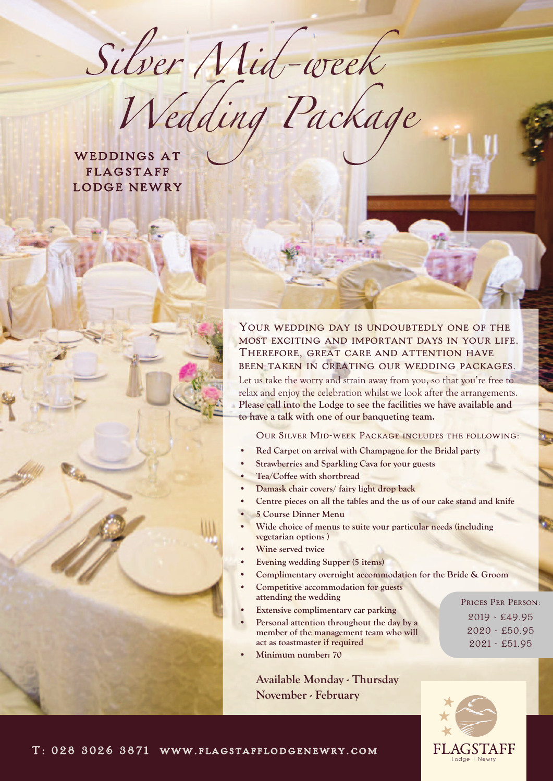Silver Nid-week

WEDDINGS AT FLAGSTAFF LODGE NEWRY

# YOUR WEDDING DAY IS UNDOUBTEDLY ONE OF THE most exciting and important days in your life. Therefore, great care and attention have been taken in creating our wedding packages.

Let us take the worry and strain away from you, so that you're free to relax and enjoy the celebration whilst we look after the arrangements. **Please call into the Lodge to see the facilities we have available and to have a talk with one of our banqueting team.**

Our Silver Mid-week Package includes the following:

- **• Red Carpet on arrival with Champagne for the Bridal party**
- **• Strawberries and Sparkling Cava for your guests**
- **• Tea/Coffee with shortbread**
- **• Damask chair covers/ fairy light drop back**
- **• Centre pieces on all the tables and the us of our cake stand and knife**
- **• 5 Course Dinner Menu**
- **• Wide choice of menus to suite your particular needs (including vegetarian options )**
- **• Wine served twice**
- **• Evening wedding Supper (5 items)**
- **• Complimentary overnight accommodation for the Bride & Groom**
- **• Competitive accommodation for guests attending the wedding**
- **• Extensive complimentary car parking**
- **• Personal attention throughout the day by a member of the management team who will act as toastmaster if required**
- **• Minimum number: 70**

**Available Monday - Thursday November - February**

Prices Per Person: 2019 - £49.95 2020 - £50.95 2021 - £51.95